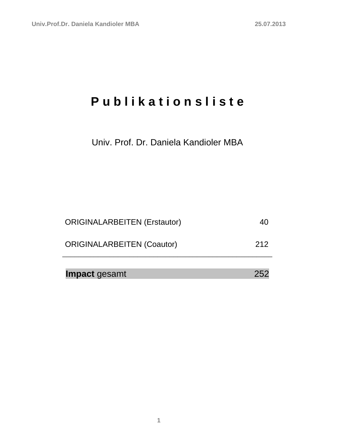# **P u b l i k a t i o n s l i s t e**

Univ. Prof. Dr. Daniela Kandioler MBA

| Impact gesamt                       | 252 |
|-------------------------------------|-----|
| <b>ORIGINALARBEITEN (Coautor)</b>   | 212 |
| <b>ORIGINALARBEITEN (Erstautor)</b> | 40  |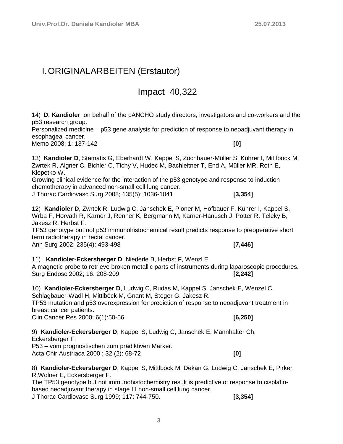### <span id="page-2-0"></span>I.ORIGINALARBEITEN (Erstautor)

### Impact 40,322

14) **D. Kandioler**, on behalf of the pANCHO study directors, investigators and co-workers and the p53 research group.

Personalized medicine – p53 gene analysis for prediction of response to neoadjuvant therapy in esophageal cancer.

Memo 2008; 1: 137-142 **[0]**

13) **Kandioler D**, Stamatis G, Eberhardt W, Kappel S, Zöchbauer-Müller S, Kührer I, Mittlböck M, Zwrtek R, Aigner C, Bichler C, Tichy V, Hudec M, Bachleitner T, End A, Müller MR, Roth E, Klepetko W.

Growing clinical evidence for the interaction of the p53 genotype and response to induction chemotherapy in advanced non-small cell lung cancer.

J Thorac Cardiovasc Surg 2008; 135(5): 1036-1041 **[3,354]**

12) **Kandioler D**, Zwrtek R, Ludwig C, Janschek E, Ploner M, Hofbauer F, Kührer I, Kappel S, Wrba F, Horvath R, Karner J, Renner K, Bergmann M, Karner-Hanusch J, Pötter R, Teleky B, Jakesz R, Herbst F.

TP53 genotype but not p53 immunohistochemical result predicts response to preoperative short term radiotherapy in rectal cancer.

Ann Surg 2002; 235(4): 493-498 **[7,446]**

11) **Kandioler-Eckersberger D**, Niederle B, Herbst F, Wenzl E.

A magnetic probe to retrieve broken metallic parts of instruments during laparoscopic procedures. Surg Endosc 2002; 16: 208-209 **[2,242]**

10) **Kandioler-Eckersberger D**, Ludwig C, Rudas M, Kappel S, Janschek E, Wenzel C, Schlagbauer-Wadl H, Mittlböck M, Gnant M, Steger G, Jakesz R.

TP53 mutation and p53 overexpression for prediction of response to neoadjuvant treatment in breast cancer patients.

Clin Cancer Res 2000; 6(1):50-56 **[6,250]**

9) **Kandioler-Eckersberger D**, Kappel S, Ludwig C, Janschek E, Mannhalter Ch,

Eckersberger F. P53 – vom prognostischen zum prädiktiven Marker.

Acta Chir Austriaca 2000 ; 32 (2): 68-72 **[0]**

8) **Kandioler-Eckersberger D**, Kappel S, Mittlböck M, Dekan G, Ludwig C, Janschek E, Pirker R,Wolner E, Eckersberger F.

The TP53 genotype but not immunohistochemistry result is predictive of response to cisplatinbased neoadjuvant therapy in stage III non-small cell lung cancer.

J Thorac Cardiovasc Surg 1999; 117: 744-750. **[3,354]**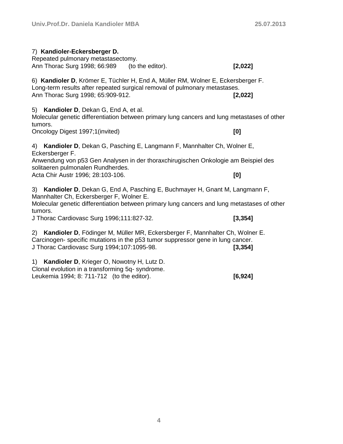| 7) Kandioler-Eckersberger D.<br>Repeated pulmonary metastasectomy.<br>Ann Thorac Surg 1998; 66:989                                                                                                                                                                                           | (to the editor). | [2,022] |  |  |
|----------------------------------------------------------------------------------------------------------------------------------------------------------------------------------------------------------------------------------------------------------------------------------------------|------------------|---------|--|--|
| 6) Kandioler D, Krömer E, Tüchler H, End A, Müller RM, Wolner E, Eckersberger F.<br>Long-term results after repeated surgical removal of pulmonary metastases.<br>Ann Thorac Surg 1998; 65:909-912.<br>[2,022]                                                                               |                  |         |  |  |
| 5) Kandioler D, Dekan G, End A, et al.<br>Molecular genetic differentiation between primary lung cancers and lung metastases of other<br>tumors.                                                                                                                                             |                  |         |  |  |
| Oncology Digest 1997;1(invited)                                                                                                                                                                                                                                                              |                  | [0]     |  |  |
| 4) Kandioler D, Dekan G, Pasching E, Langmann F, Mannhalter Ch, Wolner E,<br>Eckersberger F.<br>Anwendung von p53 Gen Analysen in der thoraxchirugischen Onkologie am Beispiel des<br>solitaeren pulmonalen Rundherdes.<br>Acta Chir Austr 1996; 28:103-106.<br>[0]                          |                  |         |  |  |
| 3) Kandioler D, Dekan G, End A, Pasching E, Buchmayer H, Gnant M, Langmann F,<br>Mannhalter Ch, Eckersberger F, Wolner E.<br>Molecular genetic differentiation between primary lung cancers and lung metastases of other<br>tumors.<br>J Thorac Cardiovasc Surg 1996;111:827-32.<br>[3, 354] |                  |         |  |  |
| Kandioler D, Födinger M, Müller MR, Eckersberger F, Mannhalter Ch, Wolner E.<br>2)<br>Carcinogen-specific mutations in the p53 tumor suppressor gene in lung cancer.<br>J Thorac Cardiovasc Surg 1994;107:1095-98.<br>[3, 354]                                                               |                  |         |  |  |
| Kandioler D, Krieger O, Nowotny H, Lutz D.<br>1)<br>Clonal evolution in a transforming 5q- syndrome.                                                                                                                                                                                         |                  |         |  |  |

Leukemia 1994; 8: 711-712 (to the editor). **[6,924]**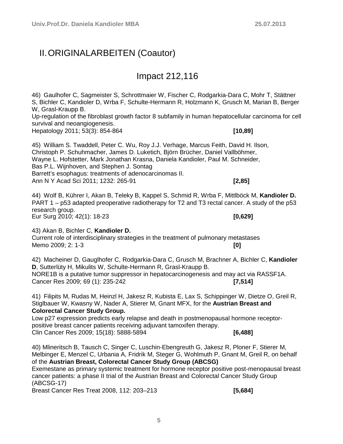### <span id="page-4-0"></span>II.ORIGINALARBEITEN (Coautor)

### Impact 212,116

46) Gaulhofer C, Sagmeister S, Schrottmaier W, Fischer C, Rodgarkia-Dara C, Mohr T, Stättner S, Bichler C, Kandioler D, Wrba F, Schulte-Hermann R, Holzmann K, Grusch M, Marian B, Berger W, Grasl-Kraupp B. Up-regulation of the fibroblast growth factor 8 subfamily in human hepatocellular carcinoma for cell survival and neoangiogenesis. Hepatology 2011; 53(3): 854-864 **[10,89]**

45) William S. Twaddell, Peter C. Wu, Roy J.J. Verhage, Marcus Feith, David H. Ilson, Christoph P. Schuhmacher, James D. Luketich, Björn Brücher, Daniel Vallböhmer, Wayne L. Hofstetter, Mark Jonathan Krasna, Daniela Kandioler, Paul M. Schneider, Bas P.L. Wijnhoven, and Stephen J. Sontag Barrett's esophagus: treatments of adenocarcinomas II. Ann N Y Acad Sci 2011; 1232: 265-91 **[2,85]**

44) Wolf B, Kührer I, Akan B, Teleky B, Kappel S, Schmid R, Wrba F, Mittlböck M, **Kandioler D.** PART 1 – p53 adapted preoperative radiotherapy for T2 and T3 rectal cancer. A study of the p53 research group. Eur Surg 2010; 42(1): 18-23 **[0,629]**

43) Akan B, Bichler C, **Kandioler D.** Current role of interdisciplinary strategies in the treatment of pulmonary metastases Memo 2009; 2: 1-3 **[0]**

42) Macheiner D, Gauglhofer C, Rodgarkia-Dara C, Grusch M, Brachner A, Bichler C, **Kandioler D**, Sutterlüty H, Mikulits W, Schulte-Hermann R, Grasl-Kraupp B. NORE1B is a putative tumor suppressor in hepatocarcinogenesis and may act via RASSF1A. Cancer Res 2009; 69 (1): 235-242 **[7,514]**

41) Filipits M, Rudas M, Heinzl H, Jakesz R, Kubista E, Lax S, Schippinger W, Dietze O, Greil R, Stiglbauer W, Kwasny W, Nader A, Stierer M, Gnant MFX, for the **Austrian Breast and Colorectal Cancer Study Group.**

Low p27 expression predicts early relapse and death in postmenopausal hormone receptorpositive breast cancer patients receiving adjuvant tamoxifen therapy. Clin Cancer Res 2009; 15(18): 5888-5894 **[6,488]**

40) Mlineritsch B, Tausch C, Singer C, Luschin-Ebengreuth G, Jakesz R, Ploner F, Stierer M, Melbinger E, Menzel C, Urbania A, Fridrik M, Steger G, Wohlmuth P, Gnant M, Greil R, on behalf of the **Austrian Breast, Colorectal Cancer Study Group (ABCSG)** Exemestane as primary systemic treatment for hormone receptor positive post-menopausal breast cancer patients: a phase II trial of the Austrian Breast and Colorectal Cancer Study Group

(ABCSG-17)

Breast Cancer Res Treat 2008, 112: 203–213 **[5,684]**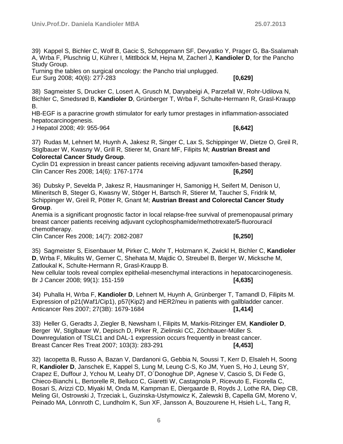39) Kappel S, Bichler C, Wolf B, Gacic S, Schoppmann SF, Devyatko Y, Prager G, Ba-Ssalamah A, Wrba F, Pluschnig U, Kührer I, Mittlböck M, Hejna M, Zacherl J, **Kandioler D**, for the Pancho Study Group.

Turning the tables on surgical oncology: the Pancho trial unplugged. Eur Surg 2008; 40(6): 277-283 **[0,629]**

38) Sagmeister S, Drucker C, Losert A, Grusch M, Daryabeigi A, Parzefall W, Rohr-Udilova N, Bichler C, Smedsrød B, **Kandioler D**, Grünberger T, Wrba F, Schulte-Hermann R, Grasl-Kraupp B.

HB-EGF is a paracrine growth stimulator for early tumor prestages in inflammation-associated hepatocarcinogenesis.

J Hepatol 2008; 49: 955-964 **[6,642]**

37) Rudas M, Lehnert M, Huynh A, Jakesz R, Singer C, Lax S, Schippinger W, Dietze O, Greil R, Stiglbauer W, Kwasny W, Grill R, Stierer M, Gnant MF, Filipits M; **Austrian Breast and Colorectal Cancer Study Group**.

Cyclin D1 expression in breast cancer patients receiving adjuvant tamoxifen-based therapy. Clin Cancer Res 2008; 14(6): 1767-1774 **[6,250]**

36) Dubsky P, Sevelda P, Jakesz R, Hausmaninger H, Samonigg H, Seifert M, Denison U, Mlineritsch B, Steger G, Kwasny W, Stöger H, Bartsch R, Stierer M, Taucher S, Fridrik M, Schippinger W, Greil R, Pötter R, Gnant M; **Austrian Breast and Colorectal Cancer Study Group**.

Anemia is a significant prognostic factor in local relapse-free survival of premenopausal primary breast cancer patients receiving adjuvant cyclophosphamide/methotrexate/5-fluorouracil chemotherapy.

Clin Cancer Res 2008; 14(7): 2082-2087 **[6,250]**

35) Sagmeister S, Eisenbauer M, Pirker C, Mohr T, Holzmann K, Zwickl H, Bichler C, **Kandioler D**, Wrba F, Mikulits W, Gerner C, Shehata M, Majdic O, Streubel B, Berger W, Micksche M, Zatloukal K, Schulte-Hermann R, Grasl-Kraupp B.

New cellular tools reveal complex epithelial-mesenchymal interactions in hepatocarcinogenesis. Br J Cancer 2008; 99(1): 151-159 **[4,635]**

34) Puhalla H, Wrba F, **Kandioler D**, Lehnert M, Huynh A, Grünberger T, Tamandl D, Filipits M. Expression of p21(Waf1/Cip1), p57(Kip2) and HER2/neu in patients with gallbladder cancer. Anticancer Res 2007; 27(3B): 1679-1684 **[1,414]**

33) Heller G, Geradts J, Ziegler B, Newsham I, Filipits M, Markis-Ritzinger EM, **Kandioler D**, Berger W, Stiglbauer W, Depisch D, Pirker R, Zielinski CC, Zöchbauer-Müller S. Downregulation of TSLC1 and DAL-1 expression occurs frequently in breast cancer. Breast Cancer Res Treat 2007; 103(3): 283-291 **[4,453]**

32) Iacopetta B, Russo A, Bazan V, Dardanoni G, Gebbia N, Soussi T, Kerr D, Elsaleh H, Soong R, **Kandioler D**, Janschek E, Kappel S, Lung M, Leung C-S, Ko JM, Yuen S, Ho J, Leung SY, Crapez E, Duffour J, Ychou M, Leahy DT, O´Donoghue DP, Agnese V, Cascio S, Di Fede G, Chieco-Bianchi L, Bertorelle R, Belluco C, Giaretti W, Castagnola P, Ricevuto E, Ficorella C, Bosari S, Arizzi CD, Miyaki M, Onda M, Kampman E, Diergaarde B, Royds J, Lothe RA, Diep CB, Meling GI, Ostrowski J, Trzeciak L, Guzinska-Ustymowicz K, Zalewski B, Capella GM, Moreno V, Peinado MA, Lönnroth C, Lundholm K, Sun XF, Jansson A, Bouzourene H, Hsieh L-L, Tang R,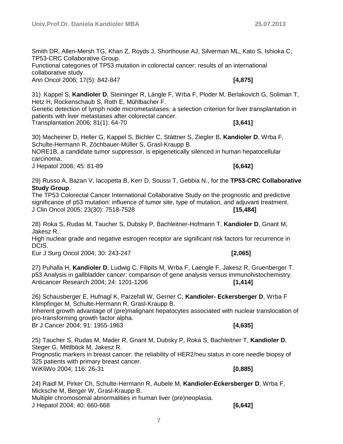Smith DR, Allen-Mersh TG, Khan Z, Royds J, Shorthouse AJ, Silverman ML, Kato S, Ishioka C; TP53-CRC Collaborative Group.

Functional categories of TP53 mutation in colorectal cancer: results of an international collaborative study. Ann Oncol 2006; 17(5): 842-847 **[4,875]**

31) Kappel S, **Kandioler D**, Steininger R, Längle F, Wrba F, Ploder M, Berlakovich G, Soliman T, Hetz H, Rockenschaub S, Roth E, Mühlbacher F.

Genetic detection of lymph node micrometastases: a selection criterion for liver transplantation in patients with liver metastases after colorectal cancer.

Transplantation 2006; 81(1): 64-70 **[3,641]**

30) Macheiner D, Heller G, Kappel S, Bichler C, Stättner S, Ziegler B, **Kandioler D**, Wrba F, Schulte-Hermann R, Zöchbauer-Müller S, Grasl-Kraupp B.

NORE1B, a candidate tumor suppressor, is epigenetically silenced in human hepatocellular carcinoma.

J Hepatol 2006; 45: 81-89 **[6,642]**

29) Russo A, Bazan V, Iacopetta B, Kerr D, Soussi T, Gebbia N., for the **TP53-CRC Collaborative Study Group**.

The TP53 Colorectal Cancer International Collaborative Study on the prognostic and predictive significance of p53 mutation: influence of tumor site, type of mutation, and adjuvant treatment. J Clin Oncol 2005; 23(30): 7518-7528 **[15,484]**

28) Roka S, Rudas M, Taucher S, Dubsky P, Bachleitner-Hofmann T, **Kandioler D**, Gnant M, Jakesz R.

High nuclear grade and negative estrogen receptor are significant risk factors for recurrence in DCIS.

Eur J Surg Oncol 2004; 30: 243-247 **[2,065]**

27) Puhalla H, **Kandioler D**, Ludwig C, Filipits M, Wrba F, Laengle F, Jakesz R, Gruenberger T. p53 Analysis in gallbladder cancer: comparison of gene analysis versus immunohistochemistry. Anticancer Research 2004; 24: 1201-1206 **[1,414]**

26) Schausberger E, Hufnagl K, Parzefall W, Gerner C, **Kandioler- Eckersberger D**, Wrba F Klimpfinger M, Schulte-Hermann R, Grasl-Kraupp B.

Inherent growth advantage of (pre)malignant hepatocytes associated with nuclear translocation of pro-transforming growth factor alpha.

Br J Cancer 2004; 91: 1955-1963 **[4,635]**

25) Taucher S, Rudas M, Mader R, Gnant M, Dubsky P, Roka S, Bachleitner T, **Kandioler D**, Steger G, Mittlböck M, Jakesz R.

Prognostic markers in breast cancer: the reliability of HER2/neu status in core needle biopsy of 325 patients with primary breast cancer. WiKliWo 2004; 116: 26-31 **[0,885]**

24) Raidl M, Pirker Ch, Schulte-Hermann R, Aubele M, **Kandioler-Eckersberger D**, Wrba F, Micksche M, Berger W, Grasl-Kraupp B. Multiple chromosomal abnormalities in human liver (pre)neoplasia. J Hepatol 2004; 40: 660-668 **[6,642]**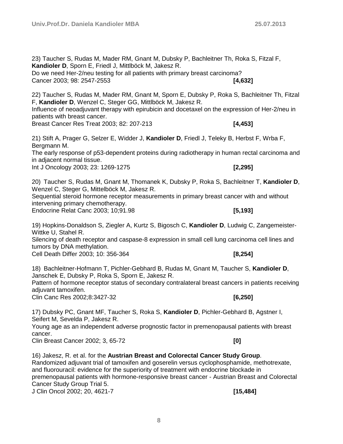**Kandioler D**, Sporn E, Friedl J, Mittlböck M, Jakesz R. Do we need Her-2/neu testing for all patients with primary breast carcinoma? Cancer 2003; 98: 2547-2553 **[4,632]** 22) Taucher S, Rudas M, Mader RM, Gnant M, Sporn E, Dubsky P, Roka S, Bachleitner Th, Fitzal F, **Kandioler D**, Wenzel C, Steger GG, Mittlböck M, Jakesz R. Influence of neoadjuvant therapy with epirubicin and docetaxel on the expression of Her-2/neu in patients with breast cancer. Breast Cancer Res Treat 2003; 82: 207-213 **[4,453]** 21) Stift A, Prager G, Selzer E, Widder J, **Kandioler D**, Friedl J, Teleky B, Herbst F, Wrba F, Bergmann M. The early response of p53-dependent proteins during radiotherapy in human rectal carcinoma and in adjacent normal tissue. Int J Oncology 2003; 23: 1269-1275 **[2,295]** 20) Taucher S, Rudas M, Gnant M, Thomanek K, Dubsky P, Roka S, Bachleitner T, **Kandioler D**, Wenzel C, Steger G, Mittelböck M, Jakesz R. Sequential steroid hormone receptor measurements in primary breast cancer with and without intervening primary chemotherapy. Endocrine Relat Canc 2003; 10;91.98 **[5,193]** 19) Hopkins-Donaldson S, Ziegler A, Kurtz S, Bigosch C, **Kandioler D**, Ludwig C, Zangemeister-Wittke U, Stahel R. Silencing of death receptor and caspase-8 expression in small cell lung carcinoma cell lines and tumors by DNA methylation. Cell Death Differ 2003; 10: 356-364 **[8,254]** 18) Bachleitner-Hofmann T, Pichler-Gebhard B, Rudas M, Gnant M, Taucher S, **Kandioler D**, Janschek E, Dubsky P, Roka S, Sporn E, Jakesz R. Pattern of hormone receptor status of secondary contralateral breast cancers in patients receiving adiuvant tamoxifen. Clin Canc Res 2002;8:3427-32 **[6,250]** 17) Dubsky PC, Gnant MF, Taucher S, Roka S, **Kandioler D**, Pichler-Gebhard B, Agstner I, Seifert M, Sevelda P, Jakesz R. Young age as an independent adverse prognostic factor in premenopausal patients with breast cancer. Clin Breast Cancer 2002; 3, 65-72 **[0]** 16) Jakesz, R. et al. for the **Austrian Breast and Colorectal Cancer Study Group**. Randomized adjuvant trial of tamoxifen and goserelin versus cyclophosphamide, methotrexate, and fluorouracil: evidence for the superiority of treatment with endocrine blockade in premenopausal patients with hormone-responsive breast cancer - Austrian Breast and Colorectal

23) Taucher S, Rudas M, Mader RM, Gnant M, Dubsky P, Bachleitner Th, Roka S, Fitzal F,

Cancer Study Group Trial 5.

J Clin Oncol 2002; 20, 4621-7 **[15,484]**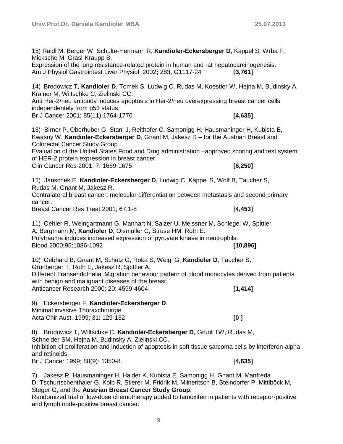**Univ.Prof.Dr. Daniela Kandioler MBA 25.07.2013**

15) Raidl M, Berger W, Schulte-Hermann R, **Kandioler-Eckersberger D**, Kappel S, Wrba F, Micksche M, Grasl-Kraupp B.

Expression of the lung resistance-related protein in human and rat hepatocarcinogenesis. Am J Physiol Gastrointest Liver Physiol 2002**;** 283, G1117-24 **[3,761]**

14) Brodowicz T, **Kandioler D**, Tomek S, Ludwig C, Rudas M, Koestler W, Hejna M, Budinsky A, Krainer M, Wiltschke C, Zielinski CC.

Anti Her-2/neu antibody induces apoptosis in Her-2/neu overexpressing breast cancer cells independentely from p53 status.

Br J Cancer 2001; 85(11):1764-1770 **[4,635]**

13) Birner P, Oberhuber G, Stani J, Reithofer C, Samonigg H, Hausmaninger H, Kubista E, Kwasny W, **Kandioler-Eckersberger D**, Gnant M, Jakesz R – for the Austrian Breast and Colorectal Cancer Study Group

Evaluation of the United States Food and Drug administration –approved scoring and test system of HER-2 protein expression in breast cancer.

Clin Cancer Res 2001; 7: 1669-1675 **[6,250]**

12) Janschek E, **Kandioler-Eckersberger D**, Ludwig C, Kappel S, Wolf B, Taucher S, Rudas M, Gnant M, Jakesz R.

Contralateral breast cancer: molecular differentiation between metastasis and second primary cancer.

Breast Cancer Res Treat 2001; 67:1-8 **[4,453]**

11) Oehler R, Weingartmann G, Manhart N, Salzer U, Meissner M, Schlegel W, Spittler A, Bergmann M, **Kandioler D**, Oismüller C, Struse HM, Roth E. Polytrauma induces increased expression of pyruvate kinase in neutrophils. Blood 2000;95:1086-1092 **[10,896]**

10) Gebhard B, Gnant M, Schütz G, Roka S, Weigl G, **Kandioler D**, Taucher S, Grünberger T, Roth E, Jakesz R, Spittler A. Different Transendothelial Migration behaviour pattern of blood monocytes derived from patients with benign and malignant diseases of the breast. Anticancer Research 2000; 20: 4599-4604 **[1,414]**

9) Eckersberger F, **Kandioler-Eckersberger D**.

Minimal invasive Thoraxchirurgie.

Acta Chir Aust. 1999; 31: 129-132 **[0 ]**

8) Brodowicz T, Wiltschke C, **Kandioler-Eckersberger D**, Grunt TW, Rudas M, Schneider SM, Hejna M, Budinsky A, Zielinski CC. Inhibition of proliferation and induction of apoptosis in soft tissue sarcoma cells by interferon-alpha and retinoids.

Br J Cancer 1999; 80(9): 1350-8. **[4,635]**

7) Jakesz R, Hausmaninger H, Haider K, Kubista E, Samonigg H, Gnant M, Manfreda D, Tschurtschenthaler G, Kolb R, Stierer M, Fridrik M, Mlineritsch B, Steindorfer P, Mittlböck M, Steger G, and the **Austrian Breast Cancer Study Group**.

Randomized trial of low-dose chemotherapy added to tamoxifen in patients with receptor-positive and lymph node-positive breast cancer.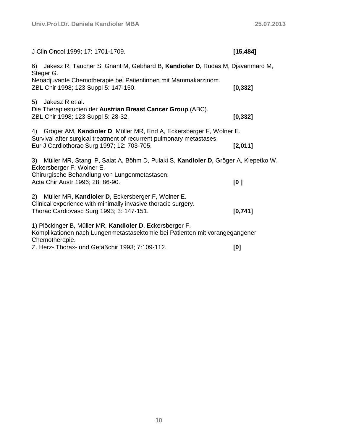| J Clin Oncol 1999; 17: 1701-1709.                                                                                                                                 | [15, 484] |  |
|-------------------------------------------------------------------------------------------------------------------------------------------------------------------|-----------|--|
| Jakesz R, Taucher S, Gnant M, Gebhard B, Kandioler D, Rudas M, Djavanmard M,<br>6)<br>Steger G.                                                                   |           |  |
| Neoadjuvante Chemotherapie bei Patientinnen mit Mammakarzinom.<br>ZBL Chir 1998; 123 Suppl 5: 147-150.                                                            | [0, 332]  |  |
| 5)<br>Jakesz R et al.<br>Die Therapiestudien der Austrian Breast Cancer Group (ABC).<br>ZBL Chir 1998; 123 Suppl 5: 28-32.                                        | [0, 332]  |  |
| Gröger AM, Kandioler D, Müller MR, End A, Eckersberger F, Wolner E.<br>4)<br>Survival after surgical treatment of recurrent pulmonary metastases.                 |           |  |
| Eur J Cardiothorac Surg 1997; 12: 703-705.                                                                                                                        | [2,011]   |  |
| 3) Müller MR, Stangl P, Salat A, Böhm D, Pulaki S, Kandioler D, Gröger A, Klepetko W,<br>Eckersberger F, Wolner E.                                                |           |  |
| Chirurgische Behandlung von Lungenmetastasen.<br>Acta Chir Austr 1996; 28: 86-90.                                                                                 | [0]       |  |
| 2) Müller MR, Kandioler D, Eckersberger F, Wolner E.<br>Clinical experience with minimally invasive thoracic surgery.<br>Thorac Cardiovasc Surg 1993; 3: 147-151. | [0,741]   |  |
| 1) Plöckinger B, Müller MR, Kandioler D, Eckersberger F.<br>Komplikationen nach Lungenmetastasektomie bei Patienten mit vorangegangener<br>Chemotherapie.         |           |  |

Z. Herz-,Thorax- und Gefäßchir 1993; 7:109-112. **[0]**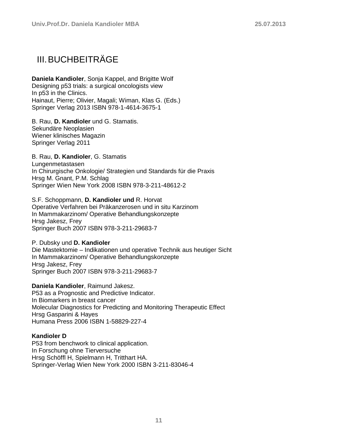### <span id="page-10-0"></span>III.BUCHBEITRÄGE

**Daniela Kandioler**, Sonja Kappel, and Brigitte Wolf Designing p53 trials: a surgical oncologists view In p53 in the Clinics. Hainaut, Pierre; Olivier, Magali; Wiman, Klas G. (Eds.) Springer Verlag 2013 ISBN 978-1-4614-3675-1

B. Rau, **D. Kandioler** und G. Stamatis. Sekundäre Neoplasien Wiener klinisches Magazin Springer Verlag 2011

B. Rau, **D. Kandioler**, G. Stamatis Lungenmetastasen In Chirurgische Onkologie/ Strategien und Standards für die Praxis Hrsg M. Gnant, P.M. Schlag Springer Wien New York 2008 ISBN 978-3-211-48612-2

S.F. Schoppmann, **D. Kandioler und** R. Horvat Operative Verfahren bei Präkanzerosen und in situ Karzinom In Mammakarzinom/ Operative Behandlungskonzepte Hrsg Jakesz, Frey Springer Buch 2007 ISBN 978-3-211-29683-7

P. Dubsky und **D. Kandioler** Die Mastektomie – Indikationen und operative Technik aus heutiger Sicht In Mammakarzinom/ Operative Behandlungskonzepte Hrsg Jakesz, Frey Springer Buch 2007 ISBN 978-3-211-29683-7

**Daniela Kandioler**, Raimund Jakesz. P53 as a Prognostic and Predictive Indicator. In Biomarkers in breast cancer Molecular Diagnostics for Predicting and Monitoring Therapeutic Effect Hrsg Gasparini & Hayes Humana Press 2006 ISBN 1-58829-227-4

#### **Kandioler D**

P53 from benchwork to clinical application. In Forschung ohne Tierversuche Hrsg Schöffl H, Spielmann H, Tritthart HA. Springer-Verlag Wien New York 2000 ISBN 3-211-83046-4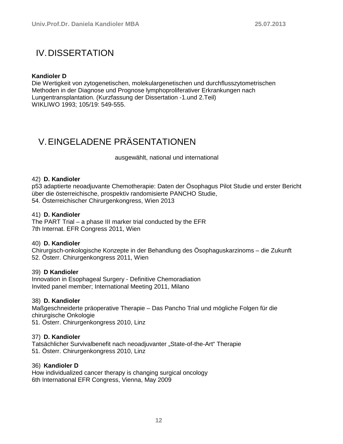### <span id="page-11-0"></span>IV.DISSERTATION

#### **Kandioler D**

Die Wertigkeit von zytogenetischen, molekulargenetischen und durchflusszytometrischen Methoden in der Diagnose und Prognose lymphoproliferativer Erkrankungen nach Lungentransplantation. (Kurzfassung der Dissertation -1.und 2.Teil) WIKLIWO 1993; 105/19: 549-555.

## <span id="page-11-1"></span>V.EINGELADENE PRÄSENTATIONEN

ausgewählt, national und international

#### 42) **D. Kandioler**

p53 adaptierte neoadjuvante Chemotherapie: Daten der Ösophagus Pilot Studie und erster Bericht über die österreichische, prospektiv randomisierte PANCHO Studie, 54. Österreichischer Chirurgenkongress, Wien 2013

#### 41) **D. Kandioler**

The PART Trial – a phase III marker trial conducted by the EFR 7th Internat. EFR Congress 2011, Wien

#### 40) **D. Kandioler**

Chirurgisch-onkologische Konzepte in der Behandlung des Ösophaguskarzinoms – die Zukunft 52. Österr. Chirurgenkongress 2011, Wien

#### 39) **D Kandioler**

Innovation in Esophageal Surgery - Definitive Chemoradiation Invited panel member; International Meeting 2011, Milano

#### 38) **D. Kandioler**

Maßgeschneiderte präoperative Therapie – Das Pancho Trial und mögliche Folgen für die chirurgische Onkologie 51. Österr. Chirurgenkongress 2010, Linz

#### 37) **D. Kandioler**

Tatsächlicher Survivalbenefit nach neoadjuvanter "State-of-the-Art" Therapie 51. Österr. Chirurgenkongress 2010, Linz

#### 36) **Kandioler D**

How individualized cancer therapy is changing surgical oncology 6th International EFR Congress, Vienna, May 2009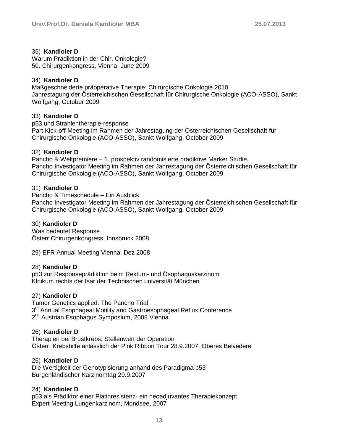#### 35) **Kandioler D**

Warum Prädiktion in der Chir. Onkologie? 50. Chirurgenkongress, Vienna, June 2009

#### 34) **Kandioler D**

Maßgeschneiderte präoperative Therapie: Chirurgische Onkologie 2010 Jahrestagung der Österreichischen Gesellschaft für Chirurgische Onkologie (ACO-ASSO), Sankt Wolfgang, October 2009

#### 33) **Kandioler D**

p53 und Strahlentherapie-response Part Kick-off Meeting im Rahmen der Jahrestagung der Österreichischen Gesellschaft für Chirurgische Onkologie (ACO-ASSO), Sankt Wolfgang, October 2009

#### 32) **Kandioler D**

Pancho & Weltpremiere – 1. prospektiv randomisierte prädiktive Marker Studie. Pancho Investigator Meeting im Rahmen der Jahrestagung der Österreichischen Gesellschaft für Chirurgische Onkologie (ACO-ASSO), Sankt Wolfgang, October 2009

#### 31) **Kandioler D**

Pancho & Timeschedule – Ein Ausblick Pancho Investigator Meeting im Rahmen der Jahrestagung der Österreichischen Gesellschaft für Chirurgische Onkologie (ACO-ASSO), Sankt Wolfgang, October 2009

#### 30) **Kandioler D**

Was bedeutet Response Österr Chirurgenkongress, Innsbruck 2008

29) EFR Annual Meeting Vienna, Dez 2008

#### 28) **Kandioler D**

p53 zur Responseprädiktion beim Rektum- und Ösophaguskarzinom Klnikum rechts der Isar der Technischen universität München

#### 27) **Kandioler D**

Tumor Genetics applied: The Pancho Trial 3<sup>rd</sup> Annual Esophageal Motility and Gastroesophageal Reflux Conference 2<sup>nd</sup> Austrian Esophagus Symposium, 2008 Vienna

#### 26) **Kandioler D**

Therapien bei Brustkrebs, Stellenwert der Operation Österr. Krebshilfe anlässlich der Pink Ribbon Tour 28.9.2007, Oberes Belvedere

#### 25) **Kandioler D**

Die Wertigkeit der Genotypisierung anhand des Paradigma p53 Burgenländischer Karzinomtag 29.9.2007

#### 24) **Kandioler D**

p53 als Prädiktor einer Platinresistenz- ein neoadjuvantes Therapiekonzept Expert Meeting Lungenkarzinom, Mondsee, 2007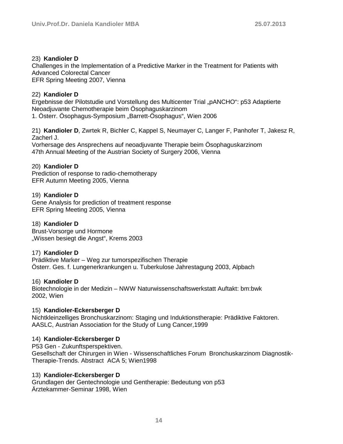#### 23) **Kandioler D**

Challenges in the Implementation of a Predictive Marker in the Treatment for Patients with Advanced Colorectal Cancer EFR Spring Meeting 2007, Vienna

#### 22) **Kandioler D**

Ergebnisse der Pilotstudie und Vorstellung des Multicenter Trial "pANCHO": p53 Adaptierte Neoadjuvante Chemotherapie beim Ösophaguskarzinom 1. Österr. Ösophagus-Symposium "Barrett-Ösophagus", Wien 2006

21) **Kandioler D**, Zwrtek R, Bichler C, Kappel S, Neumayer C, Langer F, Panhofer T, Jakesz R, Zacherl J.

Vorhersage des Ansprechens auf neoadjuvante Therapie beim Ösophaguskarzinom 47th Annual Meeting of the Austrian Society of Surgery 2006, Vienna

#### 20) **Kandioler D**

Prediction of response to radio-chemotherapy EFR Autumn Meeting 2005, Vienna

#### 19) **Kandioler D**

Gene Analysis for prediction of treatment response EFR Spring Meeting 2005, Vienna

#### 18) **Kandioler D**

Brust-Vorsorge und Hormone "Wissen besiegt die Angst", Krems 2003

#### 17) **Kandioler D**

Prädiktive Marker – Weg zur tumorspezifischen Therapie Österr. Ges. f. Lungenerkrankungen u. Tuberkulose Jahrestagung 2003, Alpbach

#### 16) **Kandioler D**

Biotechnologie in der Medizin – NWW Naturwissenschaftswerkstatt Auftakt: bm:bwk 2002, Wien

#### 15) **Kandioler-Eckersberger D**

Nichtkleinzelliges Bronchuskarzinom: Staging und Induktionstherapie: Prädiktive Faktoren. AASLC, Austrian Association for the Study of Lung Cancer,1999

#### 14) **Kandioler-Eckersberger D**

P53 Gen - Zukunftsperspektiven. Gesellschaft der Chirurgen in Wien - Wissenschaftliches Forum Bronchuskarzinom Diagnostik-Therapie-Trends. Abstract ACA 5; Wien1998

#### 13) **Kandioler-Eckersberger D**

Grundlagen der Gentechnologie und Gentherapie: Bedeutung von p53 Ärztekammer-Seminar 1998, Wien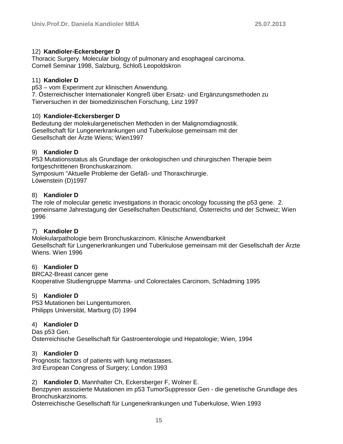#### 12) **Kandioler-Eckersberger D**

Thoracic Surgery. Molecular biology of pulmonary and esophageal carcinoma. Cornell Seminar 1998, Salzburg, Schloß Leopoldskron

#### 11) **Kandioler D**

p53 – vom Experiment zur klinischen Anwendung.

7. Österreichischer Internationaler Kongreß über Ersatz- und Ergänzungsmethoden zu Tierversuchen in der biomedizinischen Forschung, Linz 1997

#### 10) **Kandioler-Eckersberger D**

Bedeutung der molekulargenetischen Methoden in der Malignomdiagnostik. Gesellschaft für Lungenerkrankungen und Tuberkulose gemeinsam mit der Gesellschaft der Ärzte Wiens; Wien1997

#### 9) **Kandioler D**

P53 Mutationsstatus als Grundlage der onkologischen und chirurgischen Therapie beim fortgeschrittenen Bronchuskarzinom.

Symposium "Aktuelle Probleme der Gefäß- und Thoraxchirurgie. Löwenstein (D)1997

#### 8) **Kandioler D**

The role of molecular genetic investigations in thoracic oncology focussing the p53 gene. 2. gemeinsame Jahrestagung der Gesellschaften Deutschland, Österreichs und der Schweiz; Wien 1996

#### 7) **Kandioler D**

Molekularpathologie beim Bronchuskarzinom. Klinische Anwendbarkeit Gesellschaft für Lungenerkrankungen und Tuberkulose gemeinsam mit der Gesellschaft der Ärzte Wiens. Wien 1996

### 6) **Kandioler D**

BRCA2-Breast cancer gene Kooperative Studiengruppe Mamma- und Colorectales Carcinom, Schladming 1995

#### 5) **Kandioler D**

P53 Mutationen bei Lungentumoren. Philipps Universität, Marburg (D) 1994

### 4) **Kandioler D**

Das p53 Gen. Österreichische Gesellschaft für Gastroenterologie und Hepatologie; Wien, 1994

#### 3) **Kandioler D**

Prognostic factors of patients with lung metastases. 3rd European Congress of Surgery; London 1993

2) **Kandioler D**, Mannhalter Ch, Eckersberger F, Wolner E.

Benzpyren assoziierte Mutationen im p53 TumorSuppressor Gen - die genetische Grundlage des Bronchuskarzinoms.

Österreichische Gesellschaft für Lungenerkrankungen und Tuberkulose, Wien 1993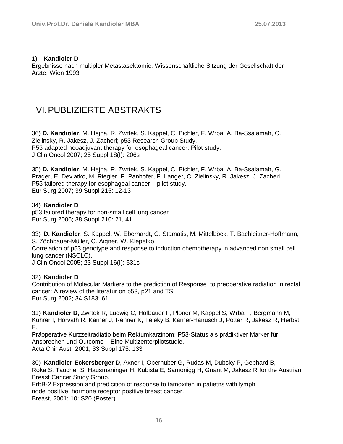#### 1) **Kandioler D**

Ergebnisse nach multipler Metastasektomie. Wissenschaftliche Sitzung der Gesellschaft der Ärzte, Wien 1993

### <span id="page-15-0"></span>VI.PUBLIZIERTE ABSTRAKTS

36) **D. Kandioler**, M. Hejna, R. Zwrtek, S. Kappel, C. Bichler, F. Wrba, A. Ba-Ssalamah, C. Zielinsky, R. Jakesz, J. Zacherl; p53 Research Group Study. P53 adapted neoadjuvant therapy for esophageal cancer: Pilot study. J Clin Oncol 2007; 25 Suppl 18(I): 206s

35) **D. Kandioler**, M. Hejna, R. Zwrtek, S. Kappel, C. Bichler, F. Wrba, A. Ba-Ssalamah, G. Prager, E. Deviatko, M. Riegler, P. Panhofer, F. Langer, C. Zielinsky, R. Jakesz, J. Zacherl. P53 tailored therapy for esophageal cancer – pilot study. Eur Surg 2007; 39 Suppl 215: 12-13

#### 34) **Kandioler D**

p53 tailored therapy for non-small cell lung cancer Eur Surg 2006; 38 Suppl 210: 21, 41

33) **D. Kandioler**, S. Kappel, W. Eberhardt, G. Stamatis, M. Mittelböck, T. Bachleitner-Hoffmann, S. Zöchbauer-Müller, C. Aigner, W. Klepetko. Correlation of p53 genotype and response to induction chemotherapy in advanced non small cell lung cancer (NSCLC).

J Clin Oncol 2005; 23 Suppl 16(I): 631s

32) **Kandioler D**

Contribution of Molecular Markers to the prediction of Response to preoperative radiation in rectal cancer: A review of the literatur on p53, p21 and TS Eur Surg 2002; 34 S183: 61

31) **Kandioler D**, Zwrtek R, Ludwig C, Hofbauer F, Ploner M, Kappel S, Wrba F, Bergmann M, Kührer I, Horvath R, Karner J, Renner K, Teleky B, Karner-Hanusch J, Pötter R, Jakesz R, Herbst F.

Präoperative Kurzzeitradiatio beim Rektumkarzinom: P53-Status als prädiktiver Marker für Ansprechen und Outcome – Eine Multizenterpilotstudie. Acta Chir Austr 2001; 33 Suppl 175: 133

30) **Kandioler-Eckersberger D**, Axner I, Oberhuber G, Rudas M, Dubsky P, Gebhard B, Roka S, Taucher S, Hausmaninger H, Kubista E, Samonigg H, Gnant M, Jakesz R for the Austrian Breast Cancer Study Group.

ErbB-2 Expression and predicition of response to tamoxifen in patietns with lymph node positive, hormone receptor positive breast cancer. Breast, 2001; 10: S20 (Poster)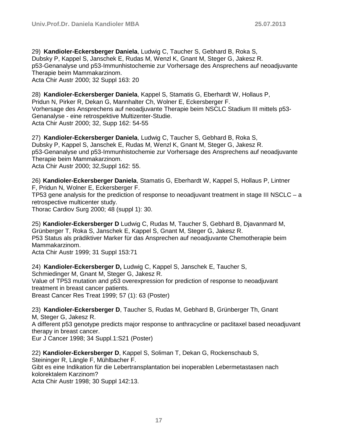29) **Kandioler-Eckersberger Daniela**, Ludwig C, Taucher S, Gebhard B, Roka S, Dubsky P, Kappel S, Janschek E, Rudas M, Wenzl K, Gnant M, Steger G, Jakesz R. p53-Genanalyse und p53-Immunhistochemie zur Vorhersage des Ansprechens auf neoadjuvante Therapie beim Mammakarzinom. Acta Chir Austr 2000; 32 Suppl 163: 20

28) **Kandioler-Eckersberger Daniela**, Kappel S, Stamatis G, Eberhardt W, Hollaus P, Pridun N, Pirker R, Dekan G, Mannhalter Ch, Wolner E, Eckersberger F. Vorhersage des Ansprechens auf neoadjuvante Therapie beim NSCLC Stadium III mittels p53- Genanalyse - eine retrospektive Multizenter-Studie. Acta Chir Austr 2000; 32, Supp 162: 54-55

27) **Kandioler-Eckersberger Daniela**, Ludwig C, Taucher S, Gebhard B, Roka S, Dubsky P, Kappel S, Janschek E, Rudas M, Wenzl K, Gnant M, Steger G, Jakesz R. p53-Genanalyse und p53-Immunhistochemie zur Vorhersage des Ansprechens auf neoadjuvante Therapie beim Mammakarzinom.

Acta Chir Austr 2000; 32,Suppl 162: 55.

26) **Kandioler-Eckersberger Daniela**, Stamatis G, Eberhardt W, Kappel S, Hollaus P, Lintner F, Pridun N, Wolner E, Eckersberger F.

TP53 gene analysis for the prediction of response to neoadjuvant treatment in stage III NSCLC – a retrospective multicenter study.

Thorac Cardiov Surg 2000; 48 (suppl 1): 30.

25) **Kandioler-Eckersberger D** Ludwig C, Rudas M, Taucher S, Gebhard B, Djavanmard M, Grünberger T, Roka S, Janschek E, Kappel S, Gnant M, Steger G, Jakesz R. P53 Status als prädiktiver Marker für das Ansprechen auf neoadjuvante Chemotherapie beim Mammakarzinom.

Acta Chir Austr 1999; 31 Suppl 153:71

24) **Kandioler-Eckersberger D,** Ludwig C, Kappel S, Janschek E, Taucher S, Schmiedinger M, Gnant M, Steger G, Jakesz R. Value of TP53 mutation and p53 overexpression for prediction of response to neoadjuvant treatment in breast cancer patients. Breast Cancer Res Treat 1999; 57 (1): 63 (Poster)

23) **Kandioler-Eckersberger D**, Taucher S, Rudas M, Gebhard B, Grünberger Th, Gnant M, Steger G, Jakesz R.

A different p53 genotype predicts major response to anthracycline or paclitaxel based neoadjuvant therapy in breast cancer.

Eur J Cancer 1998; 34 Suppl.1:S21 (Poster)

22) **Kandioler-Eckersberger D**, Kappel S, Soliman T, Dekan G, Rockenschaub S, Steininger R, Längle F, Mühlbacher F. Gibt es eine Indikation für die Lebertransplantation bei inoperablen Lebermetastasen nach kolorektalem Karzinom? Acta Chir Austr 1998; 30 Suppl 142:13.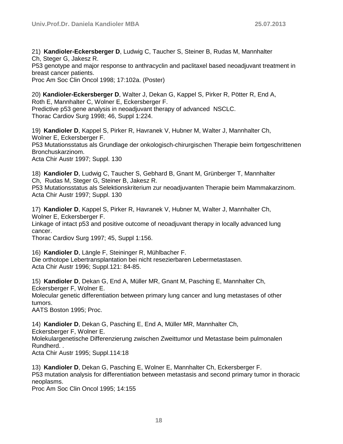21) **Kandioler-Eckersberger D**, Ludwig C, Taucher S, Steiner B, Rudas M, Mannhalter Ch, Steger G, Jakesz R. P53 genotype and major response to anthracyclin and paclitaxel based neoadjuvant treatment in breast cancer patients.

Proc Am Soc Clin Oncol 1998; 17:102a. (Poster)

20) **Kandioler-Eckersberger D**, Walter J, Dekan G, Kappel S, Pirker R, Pötter R, End A, Roth E, Mannhalter C, Wolner E, Eckersberger F. Predictive p53 gene analysis in neoadjuvant therapy of advanced NSCLC. Thorac Cardiov Surg 1998; 46, Suppl 1:224.

19) **Kandioler D**, Kappel S, Pirker R, Havranek V, Hubner M, Walter J, Mannhalter Ch, Wolner E, Eckersberger F. P53 Mutationsstatus als Grundlage der onkologisch-chirurgischen Therapie beim fortgeschrittenen Bronchuskarzinom. Acta Chir Austr 1997; Suppl. 130

18) **Kandioler D**, Ludwig C, Taucher S, Gebhard B, Gnant M, Grünberger T, Mannhalter Ch, Rudas M, Steger G, Steiner B, Jakesz R. P53 Mutationsstatus als Selektionskriterium zur neoadjuvanten Therapie beim Mammakarzinom. Acta Chir Austr 1997; Suppl. 130

17) **Kandioler D**, Kappel S, Pirker R, Havranek V, Hubner M, Walter J, Mannhalter Ch, Wolner E, Eckersberger F.

Linkage of intact p53 and positive outcome of neoadjuvant therapy in locally advanced lung cancer.

Thorac Cardiov Surg 1997; 45, Suppl 1:156.

16) **Kandioler D**, Längle F, Steininger R, Mühlbacher F. Die orthotope Lebertransplantation bei nicht resezierbaren Lebermetastasen. Acta Chir Austr 1996; Suppl.121: 84-85.

15) **Kandioler D**, Dekan G, End A, Müller MR, Gnant M, Pasching E, Mannhalter Ch, Eckersberger F, Wolner E. Molecular genetic differentiation between primary lung cancer and lung metastases of other tumors. AATS Boston 1995; Proc.

14) **Kandioler D**, Dekan G, Pasching E, End A, Müller MR, Mannhalter Ch, Eckersberger F, Wolner E. Molekulargenetische Differenzierung zwischen Zweittumor und Metastase beim pulmonalen Rundherd. . Acta Chir Austr 1995; Suppl.114:18

13) **Kandioler D**, Dekan G, Pasching E, Wolner E, Mannhalter Ch, Eckersberger F. P53 mutation analysis for differentiation between metastasis and second primary tumor in thoracic neoplasms.

Proc Am Soc Clin Oncol 1995; 14:155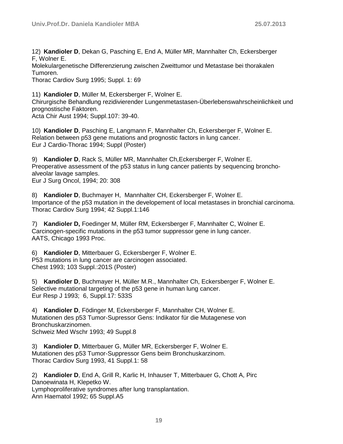12) **Kandioler D**, Dekan G, Pasching E, End A, Müller MR, Mannhalter Ch, Eckersberger F, Wolner E.

Molekulargenetische Differenzierung zwischen Zweittumor und Metastase bei thorakalen Tumoren.

Thorac Cardiov Surg 1995; Suppl. 1: 69

11) **Kandioler D**, Müller M, Eckersberger F, Wolner E. Chirurgische Behandlung rezidivierender Lungenmetastasen-Überlebenswahrscheinlichkeit und prognostische Faktoren.

Acta Chir Aust 1994; Suppl.107: 39-40.

10) **Kandioler D**, Pasching E, Langmann F, Mannhalter Ch, Eckersberger F, Wolner E. Relation between p53 gene mutations and prognostic factors in lung cancer. Eur J Cardio-Thorac 1994; Suppl (Poster)

9) **Kandioler D**, Rack S, Müller MR, Mannhalter Ch,Eckersberger F, Wolner E. Preoperative assessment of the p53 status in lung cancer patients by sequencing bronchoalveolar lavage samples. Eur J Surg Oncol, 1994; 20: 308

8) **Kandioler D**, Buchmayer H, Mannhalter CH, Eckersberger F, Wolner E. Importance of the p53 mutation in the developement of local metastases in bronchial carcinoma. Thorac Cardiov Surg 1994; 42 Suppl.1:146

7) **Kandioler D,** Foedinger M, Müller RM, Eckersberger F, Mannhalter C, Wolner E. Carcinogen-specific mutations in the p53 tumor suppressor gene in lung cancer. AATS, Chicago 1993 Proc.

6) **Kandioler D**, Mitterbauer G, Eckersberger F, Wolner E. P53 mutations in lung cancer are carcinogen associated. Chest 1993; 103 Suppl.:201S (Poster)

5) **Kandioler D**, Buchmayer H, Müller M.R., Mannhalter Ch, Eckersberger F, Wolner E. Selective mutational targeting of the p53 gene in human lung cancer. Eur Resp J 1993; 6, Suppl.17: 533S

4) **Kandioler D**, Födinger M, Eckersberger F, Mannhalter CH, Wolner E. Mutationen des p53 Tumor-Supressor Gens: Indikator für die Mutagenese von Bronchuskarzinomen. Schweiz Med Wschr 1993; 49 Suppl.8

3) **Kandioler D**, Mitterbauer G, Müller MR, Eckersberger F, Wolner E. Mutationen des p53 Tumor-Suppressor Gens beim Bronchuskarzinom. Thorac Cardiov Surg 1993, 41 Suppl.1: 58

2) **Kandioler D**, End A, Grill R, Karlic H, Inhauser T, Mitterbauer G, Chott A, Pirc Danoewinata H, Klepetko W. Lymphoproliferative syndromes after lung transplantation. Ann Haematol 1992; 65 Suppl.A5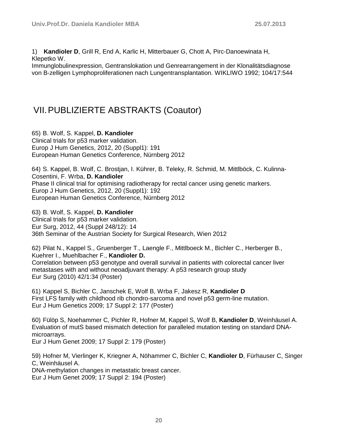1) **Kandioler D**, Grill R, End A, Karlic H, Mitterbauer G, Chott A, Pirc-Danoewinata H, Klepetko W.

Immunglobulinexpression, Gentranslokation und Genrearrangement in der Klonalitätsdiagnose von B-zelligen Lymphoproliferationen nach Lungentransplantation. WIKLIWO 1992; 104/17:544

### <span id="page-19-0"></span>VII.PUBLIZIERTE ABSTRAKTS (Coautor)

65) B. Wolf, S. Kappel, **D. Kandioler**

Clinical trials for p53 marker validation. Europ J Hum Genetics, 2012, 20 (Suppl1): 191 European Human Genetics Conference, Nürnberg 2012

64) S. Kappel, B. Wolf, C. Brostjan, I. Kührer, B. Teleky, R. Schmid, M. Mittlböck, C. Kulinna-Cosentini, F. Wrba, **D. Kandioler** Phase II clinical trial for optimising radiotherapy for rectal cancer using genetic markers. Europ J Hum Genetics, 2012, 20 (Suppl1): 192 European Human Genetics Conference, Nürnberg 2012

63) B. Wolf, S. Kappel, **D. Kandioler** Clinical trials for p53 marker validation. Eur Surg, 2012, 44 (Suppl 248/12): 14 36th Seminar of the Austrian Society for Surgical Research, Wien 2012

62) Pilat N., Kappel S., Gruenberger T., Laengle F., Mittlboeck M., Bichler C., Herberger B., Kuehrer I., Muehlbacher F., **Kandioler D.** Correlation between p53 genotype and overall survival in patients with colorectal cancer liver metastases with and without neoadjuvant therapy: A p53 research group study Eur Surg (2010) 42/1:34 (Poster)

61) Kappel S, Bichler C, Janschek E, Wolf B, Wrba F, Jakesz R, **Kandioler D** First LFS family with childhood rib chondro-sarcoma and novel p53 germ-line mutation. Eur J Hum Genetics 2009; 17 Suppl 2: 177 (Poster)

60) Fülöp S, Noehammer C, Pichler R, Hofner M, Kappel S, Wolf B, **Kandioler D**, Weinhäusel A. Evaluation of mutS based mismatch detection for paralleled mutation testing on standard DNAmicroarrays.

Eur J Hum Genet 2009; 17 Suppl 2: 179 (Poster)

59) Hofner M, Vierlinger K, Kriegner A, Nöhammer C, Bichler C, **Kandioler D**, Fürhauser C, Singer C, Weinhäusel A. DNA-methylation changes in metastatic breast cancer. Eur J Hum Genet 2009; 17 Suppl 2: 194 (Poster)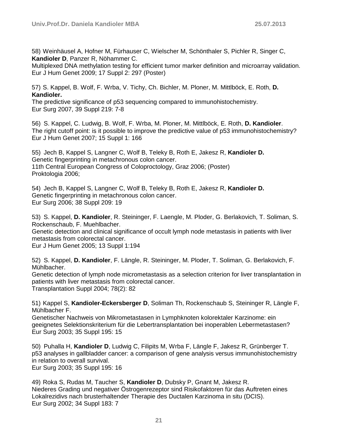58) Weinhäusel A, Hofner M, Fürhauser C, Wielscher M, Schönthaler S, Pichler R, Singer C, **Kandioler D**, Panzer R, Nöhammer C.

Multiplexed DNA methylation testing for efficient tumor marker definition and microarray validation. Eur J Hum Genet 2009; 17 Suppl 2: 297 (Poster)

57) S. Kappel, B. Wolf, F. Wrba, V. Tichy, Ch. Bichler, M. Ploner, M. Mittlböck, E. Roth, **D. Kandioler.**

The predictive significance of p53 sequencing compared to immunohistochemistry. Eur Surg 2007, 39 Suppl 219: 7-8

56) S. Kappel, C. Ludwig, B. Wolf, F. Wrba, M. Ploner, M. Mittlböck, E. Roth, **D. Kandioler**. The right cutoff point: is it possible to improve the predictive value of p53 immunohistochemistry? Eur J Hum Genet 2007; 15 Suppl 1: 166

55) Jech B, Kappel S, Langner C, Wolf B, Teleky B, Roth E, Jakesz R, **Kandioler D.** Genetic fingerprinting in metachronous colon cancer. 11th Central European Congress of Coloproctology, Graz 2006; (Poster) Proktologia 2006;

54) Jech B, Kappel S, Langner C, Wolf B, Teleky B, Roth E, Jakesz R, **Kandioler D.** Genetic fingerprinting in metachronous colon cancer. Eur Surg 2006; 38 Suppl 209: 19

53) S. Kappel, **D. Kandioler**, R. Steininger, F. Laengle, M. Ploder, G. Berlakovich, T. Soliman, S. Rockenschaub, F. Muehlbacher.

Genetic detection and clinical significance of occult lymph node metastasis in patients with liver metastasis from colorectal cancer.

Eur J Hum Genet 2005; 13 Suppl 1:194

52) S. Kappel, **D. Kandioler**, F. Längle, R. Steininger, M. Ploder, T. Soliman, G. Berlakovich, F. Mühlbacher.

Genetic detection of lymph node micrometastasis as a selection criterion for liver transplantation in patients with liver metastasis from colorectal cancer. Transplantation Suppl 2004; 78(2): 82

51) Kappel S, **Kandioler-Eckersberger D**, Soliman Th, Rockenschaub S, Steininger R, Längle F, Mühlbacher F.

Genetischer Nachweis von Mikrometastasen in Lymphknoten kolorektaler Karzinome: ein geeignetes Selektionskriterium für die Lebertransplantation bei inoperablen Lebermetastasen? Eur Surg 2003; 35 Suppl 195: 15

50) Puhalla H, **Kandioler D**, Ludwig C, Filipits M, Wrba F, Längle F, Jakesz R, Grünberger T. p53 analyses in gallbladder cancer: a comparison of gene analysis versus immunohistochemistry in relation to overall survival. Eur Surg 2003; 35 Suppl 195: 16

49) Roka S, Rudas M, Taucher S, **Kandioler D**, Dubsky P, Gnant M, Jakesz R. Niederes Grading und negativer Östrogenrezeptor sind Risikofaktoren für das Auftreten eines Lokalrezidivs nach brusterhaltender Therapie des Ductalen Karzinoma in situ (DCIS). Eur Surg 2002; 34 Suppl 183: 7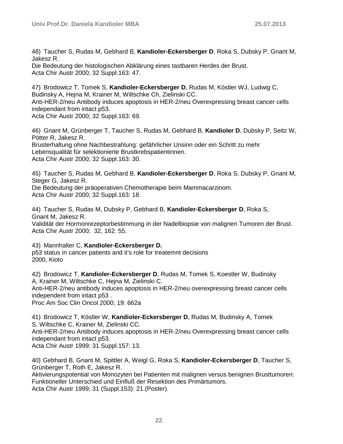48) Taucher S, Rudas M, Gebhard B, **Kandioler-Eckersberger D**, Roka S, Dubsky P, Gnant M, Jakesz R.

Die Bedeutung der histologischen Abklärung eines tastbaren Herdes der Brust. Acta Chir Austr 2000; 32 Suppl.163: 47.

47) Brodowicz T, Tomek S, **Kandioler-Eckersberger D**, Rudas M, Köstler WJ, Ludwig C, Budinsky A, Hejna M, Krainer M, Wiltschke Ch, Zielinski CC. Anti-HER-2/neu Antibody induces apoptosis in HER-2/neu Overexpressing breast cancer cells independant from intact p53. Acta Chir Austr 2000; 32 Suppl.163: 69.

46) Gnant M, Grünberger T, Taucher S, Rudas M, Gebhard B, **Kandioler D**, Dubsky P, Seitz W, Pötter R, Jakesz R. Brusterhaltung ohne Nachbestrahlung: gefährlicher Unsinn oder ein Schritt zu mehr Lebensqualität für selektionierte Brustkrebspatientinnen. Acta Chir Austr 2000; 32 Suppl.163: 30.

45) Taucher S, Rudas M, Gebhard B, **Kandioler-Eckersberger D**, Roka S, Dubsky P, Gnant M, Steger G, Jakesz R. Die Bedeutung der präoperativen Chemotherapie beim Mammacarzinom. Acta Chir Austr 2000; 32 Suppl.163: 18.

44) Taucher S, Rudas M, Dubsky P, Gebhard B, **Kandioler-Eckersberger D**, Roka S, Gnant M, Jakesz R. Validität der Hormonrezeptorbestimmung in der Nadelbiopsie von malignen Tumoren der Brust. Acta Chir Austr 2000; 32, 162: 55.

43) Mannhalter C, **Kandioler-Eckersberger D.** p53 status in cancer patients and it's role for treatemnt decisions 2000, Kioto

42) Brodowicz T, **Kandioler-Eckersberger D**, Rudas M, Tomek S, Koestler W, Budinsky A, Krainer M, Wiltschke C, Hejna M, Zielinski C. Anti-HER-2/neu antibody induces apoptosis in HER-2/neu overexpressing breast cancer cells independent from intact p53 . Proc Am Soc Clin Oncol 2000; 19: 662a

41) Brodowicz T, Köstler W, **Kandioler-Eckersberger D**, Rudas M, Budinsky A, Tomek S, Wiltschke C, Krainer M, Zielinski CC. Anti-HER-2/neu Antibody induces apoptosis in HER-2/neu Overexpressing breast cancer cells independant from intact p53. Acta Chir Austr 1999; 31 Suppl.157: 13.

40) Gebhard B, Gnant M, Spittler A, Weigl G, Roka S, **Kandioler-Eckersberger D**, Taucher S, Grünberger T, Roth E, Jakesz R.

Aktivierungspotential von Monozyten bei Patienten mit malignen versus benignen Brusttumoren: Funktioneller Unterschied und Einfluß der Resektion des Primärtumors. Acta Chir Austr 1999; 31 (Suppl.153): 21.(Poster).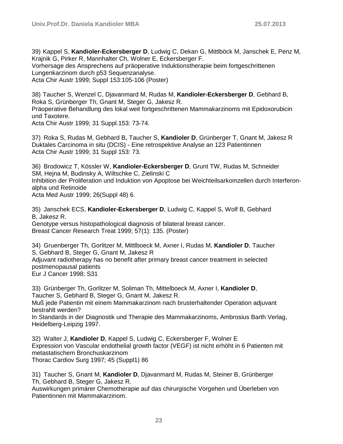39) Kappel S, **Kandioler-Eckersberger D**, Ludwig C, Dekan G, Mittlböck M, Janschek E, Penz M, Krajnik G, Pirker R, Mannhalter Ch, Wolner E, Eckersberger F. Vorhersage des Ansprechens auf präoperative Induktionstherapie beim fortgeschrittenen Lungenkarzinom durch p53 Sequenzanalyse. Acta Chir Austr 1999; Suppl 153:105-106 (Poster)

38) Taucher S, Wenzel C, Djavanmard M, Rudas M, **Kandioler-Eckersberger D**, Gebhard B, Roka S, Grünberger Th, Gnant M, Steger G, Jakesz R. Präoperative Behandlung des lokal weit fortgeschrittenen Mammakarzinoms mit Epidoxorubicin und Taxotere. Acta Chir Austr 1999; 31 Suppl.153: 73-74.

37) Roka S, Rudas M, Gebhard B, Taucher S, **Kandioler D**, Grünberger T, Gnant M, Jakesz R Duktales Carcinoma in situ (DCIS) - Eine retrospektive Analyse an 123 Patientinnen Acta Chir Austr 1999; 31 Suppl 153: 73.

36) Brodowicz T, Kössler W, **Kandioler-Eckersberger D**, Grunt TW, Rudas M, Schneider SM, Hejna M, Budinsky A, Wiltschke C, Zielinski C Inhibition der Proliferation und Induktion von Apoptose bei Weichteilsarkomzellen durch Interferonalpha und Retinoide Acta Med Austr 1999; 26(Suppl 48) 6.

35) Janschek ECS, **Kandioler-Eckersberger D**, Ludwig C, Kappel S, Wolf B, Gebhard B, Jakesz R. Genotype versus histopathological diagnosis of bilateral breast cancer.

Breast Cancer Research Treat 1999; 57(1): 135. (Poster)

34) Gruenberger Th, Gorlitzer M, Mittlboeck M, Axner I, Rudas M, **Kandioler D**, Taucher S, Gebhard B, Steger G, Gnant M, Jakesz R Adjuvant radiotherapy has no benefit after primary breast cancer treatment in selected postmenopausal patients Eur J Cancer 1998; S31

33) Grünberger Th, Gorlitzer M, Soliman Th, Mittelboeck M, Axner I, **Kandioler D**, Taucher S, Gebhard B, Steger G, Gnant M, Jakesz R. Muß jede Patientin mit einem Mammakarzinom nach brusterhaltender Operation adjuvant bestrahlt werden? In Standards in der Diagnostik und Therapie des Mammakarzinoms, Ambrosius Barth Verlag, Heidelberg-Leipzig 1997.

32) Walter J, **Kandioler D**, Kappel S, Ludwig C, Eckersberger F, Wolner E Expression von Vascular endothelial growth factor (VEGF) ist nicht erhöht in 6 Patienten mit metastatischem Bronchuskarzinom Thorac Cardiov Surg 1997; 45 (Suppl1) 86

31) Taucher S, Gnant M, **Kandioler D**, Djavanmard M, Rudas M, Steiner B, Grünberger Th, Gebhard B, Steger G, Jakesz R.

Auswirkungen primärer Chemotherapie auf das chirurgische Vorgehen und Überleben von Patientinnen mit Mammakarzinom.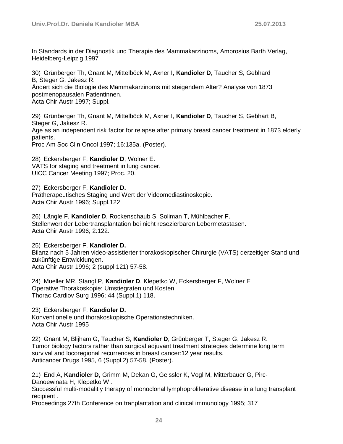In Standards in der Diagnostik und Therapie des Mammakarzinoms, Ambrosius Barth Verlag, Heidelberg-Leipzig 1997

30) Grünberger Th, Gnant M, Mittelböck M, Axner I, **Kandioler D**, Taucher S, Gebhard B, Steger G, Jakesz R. Ändert sich die Biologie des Mammakarzinoms mit steigendem Alter? Analyse von 1873 postmenopausalen Patientinnen. Acta Chir Austr 1997; Suppl.

29) Grünberger Th, Gnant M, Mittelböck M, Axner I, **Kandioler D**, Taucher S, Gebhart B, Steger G, Jakesz R. Age as an independent risk factor for relapse after primary breast cancer treatment in 1873 elderly patients.

Proc Am Soc Clin Oncol 1997; 16:135a. (Poster).

28) Eckersberger F, **Kandioler D**, Wolner E. VATS for staging and treatment in lung cancer. UICC Cancer Meeting 1997; Proc. 20.

27) Eckersberger F, **Kandioler D.** Prätherapeutisches Staging und Wert der Videomediastinoskopie. Acta Chir Austr 1996; Suppl.122

26) Längle F, **Kandioler D**, Rockenschaub S, Soliman T, Mühlbacher F. Stellenwert der Lebertransplantation bei nicht resezierbaren Lebermetastasen. Acta Chir Austr 1996; 2:122.

25) Eckersberger F, **Kandioler D.**  Bilanz nach 5 Jahren video-assistierter thorakoskopischer Chirurgie (VATS) derzeitiger Stand und zukünftige Entwicklungen. Acta Chir Austr 1996; 2 (suppl 121) 57-58.

24) Mueller MR, Stangl P, **Kandioler D**, Klepetko W, Eckersberger F, Wolner E Operative Thorakoskopie: Umstiegraten und Kosten Thorac Cardiov Surg 1996; 44 (Suppl.1) 118.

23) Eckersberger F, **Kandioler D.** Konventionelle und thorakoskopische Operationstechniken. Acta Chir Austr 1995

22) Gnant M, Blijham G, Taucher S, **Kandioler D**, Grünberger T, Steger G, Jakesz R. Tumor biology factors rather than surgical adjuvant treatment strategies determine long term survival and locoregional recurrences in breast cancer:12 year results. Anticancer Drugs 1995, 6 (Suppl.2) 57-58. (Poster).

21) End A, **Kandioler D**, Grimm M, Dekan G, Geissler K, Vogl M, Mitterbauer G, Pirc-Danoewinata H, Klepetko W .

Successful multi-modalitiy therapy of monoclonal lymphoproliferative disease in a lung transplant recipient .

Proceedings 27th Conference on tranplantation and clinical immunology 1995; 317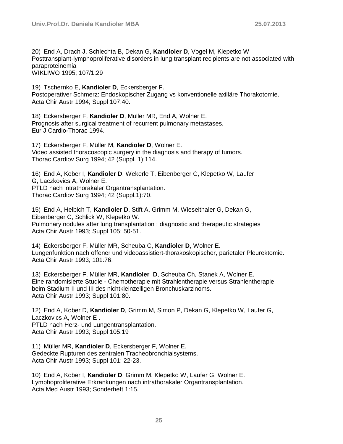20) End A, Drach J, Schlechta B, Dekan G, **Kandioler D**, Vogel M, Klepetko W Posttransplant-lymphoproliferative disorders in lung transplant recipients are not associated with paraproteinemia WIKLIWO 1995; 107/1:29

19) Tschernko E, **Kandioler D**, Eckersberger F. Postoperativer Schmerz: Endoskopischer Zugang vs konventionelle axilläre Thorakotomie. Acta Chir Austr 1994; Suppl 107:40.

18) Eckersberger F, **Kandioler D**, Müller MR, End A, Wolner E. Prognosis after surgical treatment of recurrent pulmonary metastases. Eur J Cardio-Thorac 1994.

17) Eckersberger F, Müller M, **Kandioler D**, Wolner E. Video assisted thoracoscopic surgery in the diagnosis and therapy of tumors. Thorac Cardiov Surg 1994; 42 (Suppl. 1):114.

16) End A, Kober I, **Kandioler D**, Wekerle T, Eibenberger C, Klepetko W, Laufer G, Laczkovics A, Wolner E. PTLD nach intrathorakaler Organtransplantation. Thorac Cardiov Surg 1994; 42 (Suppl.1):70.

15) End A, Helbich T, **Kandioler D**, Stift A, Grimm M, Wieselthaler G, Dekan G, Eibenberger C, Schlick W, Klepetko W. Pulmonary nodules after lung transplantation : diagnostic and therapeutic strategies Acta Chir Austr 1993; Suppl 105: 50-51.

14) Eckersberger F, Müller MR, Scheuba C, **Kandioler D**, Wolner E. Lungenfunktion nach offener und videoassistiert-thorakoskopischer, parietaler Pleurektomie. Acta Chir Austr 1993; 101:76.

13) Eckersberger F, Müller MR, **Kandioler D**, Scheuba Ch, Stanek A, Wolner E. Eine randomisierte Studie - Chemotherapie mit Strahlentherapie versus Strahlentherapie beim Stadium II und III des nichtkleinzelligen Bronchuskarzinoms. Acta Chir Austr 1993; Suppl 101:80.

12) End A, Kober D, **Kandioler D**, Grimm M, Simon P, Dekan G, Klepetko W, Laufer G, Laczkovics A, Wolner E . PTLD nach Herz- und Lungentransplantation. Acta Chir Austr 1993; Suppl 105:19

11) Müller MR, **Kandioler D**, Eckersberger F, Wolner E. Gedeckte Rupturen des zentralen Tracheobronchialsystems. Acta Chir Austr 1993; Suppl 101: 22-23.

10) End A, Kober I, **Kandioler D**, Grimm M, Klepetko W, Laufer G, Wolner E. Lymphoproliferative Erkrankungen nach intrathorakaler Organtransplantation. Acta Med Austr 1993; Sonderheft 1:15.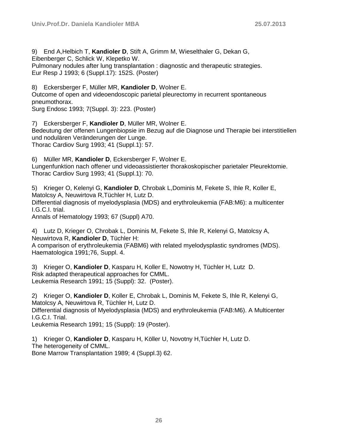9) End A,Helbich T, **Kandioler D**, Stift A, Grimm M, Wieselthaler G, Dekan G,

Eibenberger C, Schlick W, Klepetko W.

Pulmonary nodules after lung transplantation : diagnostic and therapeutic strategies. Eur Resp J 1993; 6 (Suppl.17): 152S. (Poster)

8) Eckersberger F, Müller MR, **Kandioler D**, Wolner E.

Outcome of open and videoendoscopic parietal pleurectomy in recurrent spontaneous pneumothorax.

Surg Endosc 1993; 7(Suppl. 3): 223. (Poster)

7) Eckersberger F, **Kandioler D**, Müller MR, Wolner E. Bedeutung der offenen Lungenbiopsie im Bezug auf die Diagnose und Therapie bei interstitiellen und nodulären Veränderungen der Lunge. Thorac Cardiov Surg 1993; 41 (Suppl.1): 57.

6) Müller MR, **Kandioler D**, Eckersberger F, Wolner E.

Lungenfunktion nach offener und videoassistierter thorakoskopischer parietaler Pleurektomie. Thorac Cardiov Surg 1993; 41 (Suppl.1): 70.

5) Krieger O, Kelenyi G, **Kandioler D**, Chrobak L,Dominis M, Fekete S, Ihle R, Koller E, Matolcsy A, Neuwirtova R,Tüchler H, Lutz D. Differential diagnosis of myelodysplasia (MDS) and erythroleukemia (FAB:M6): a multicenter I.G.C.I. trial. Annals of Hematology 1993; 67 (Suppl) A70.

4) Lutz D, Krieger O, Chrobak L, Dominis M, Fekete S, Ihle R, Kelenyi G, Matolcsy A, Neuwirtova R, **Kandioler D**, Tüchler H:

A comparison of erythroleukemia (FABM6) with related myelodysplastic syndromes (MDS). Haematologica 1991;76, Suppl. 4.

3) Krieger O, **Kandioler D**, Kasparu H, Koller E, Nowotny H, Tüchler H, Lutz D. Risk adapted therapeutical approaches for CMML. Leukemia Research 1991; 15 (Suppl): 32. (Poster).

2) Krieger O, **Kandioler D**, Koller E, Chrobak L, Dominis M, Fekete S, Ihle R, Kelenyi G, Matolcsy A, Neuwirtova R, Tüchler H, Lutz D. Differential diagnosis of Myelodysplasia (MDS) and erythroleukemia (FAB:M6). A Multicenter I.G.C.I. Trial.

Leukemia Research 1991; 15 (Suppl): 19 (Poster).

1) Krieger O, **Kandioler D**, Kasparu H, Köller U, Novotny H,Tüchler H, Lutz D. The heterogeneity of CMML. Bone Marrow Transplantation 1989; 4 (Suppl.3) 62.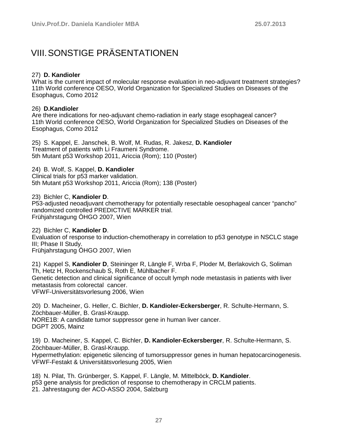### <span id="page-26-0"></span>VIII.SONSTIGE PRÄSENTATIONEN

#### 27) **D. Kandioler**

What is the current impact of molecular response evaluation in neo-adjuvant treatment strategies? 11th World conference OESO, World Organization for Specialized Studies on Diseases of the Esophagus, Como 2012

#### 26) **D.Kandioler**

Are there indications for neo-adjuvant chemo-radiation in early stage esophageal cancer? 11th World conference OESO, World Organization for Specialized Studies on Diseases of the Esophagus, Como 2012

25) S. Kappel, E. Janschek, B. Wolf, M. Rudas, R. Jakesz, **D. Kandioler** Treatment of patients with Li Fraumeni Syndrome. 5th Mutant p53 Workshop 2011, Ariccia (Rom); 110 (Poster)

24) B. Wolf, S. Kappel, **D. Kandioler** Clinical trials for p53 marker validation.

5th Mutant p53 Workshop 2011, Ariccia (Rom); 138 (Poster)

23) Bichler C, **Kandioler D**. P53-adjusted neoadjuvant chemotherapy for potentially resectable oesophageal cancer "pancho" randomized controlled PREDICTIVE MARKER trial. Frühjahrstagung ÖHGO 2007, Wien

22) Bichler C, **Kandioler D**. Evaluation of response to induction-chemotherapy in correlation to p53 genotype in NSCLC stage III; Phase II Study. Frühjahrstagung ÖHGO 2007, Wien

21) Kappel S, **Kandioler D**, Steininger R, Längle F, Wrba F, Ploder M, Berlakovich G, Soliman Th, Hetz H, Rockenschaub S, Roth E, Mühlbacher F. Genetic detection and clinical significance of occult lymph node metastasis in patients with liver metastasis from colorectal cancer. VFWF-Universitätsvorlesung 2006, Wien

20) D. Macheiner, G. Heller, C. Bichler, **D. Kandioler-Eckersberger**, R. Schulte-Hermann, S. Zöchbauer-Müller, B. Grasl-Kraupp. NORE1B: A candidate tumor suppressor gene in human liver cancer. DGPT 2005, Mainz

19) D. Macheiner, S. Kappel, C. Bichler, **D. Kandioler-Eckersberger**, R. Schulte-Hermann, S. Zöchbauer-Müller, B. Grasl-Kraupp.

Hypermethylation: epigenetic silencing of tumorsuppressor genes in human hepatocarcinogenesis. VFWF-Festakt & Universitätsvorlesung 2005, Wien

18) N. Pilat, Th. Grünberger, S. Kappel, F. Längle, M. Mittelböck, **D. Kandioler**. p53 gene analysis for prediction of response to chemotherapy in CRCLM patients. 21. Jahrestagung der ACO-ASSO 2004, Salzburg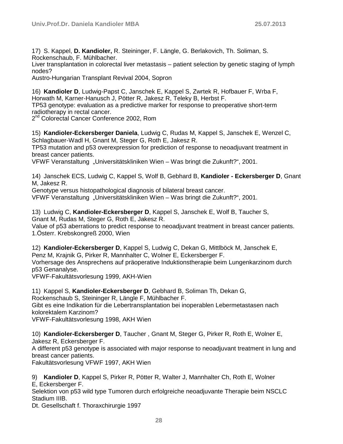17) S. Kappel, **D. Kandioler,** R. Steininger, F. Längle, G. Berlakovich, Th. Soliman, S. Rockenschaub, F. Mühlbacher.

Liver transplantation in colorectal liver metastasis – patient selection by genetic staging of lymph nodes?

Austro-Hungarian Transplant Revival 2004, Sopron

16) **Kandioler D**, Ludwig-Papst C, Janschek E, Kappel S, Zwrtek R, Hofbauer F, Wrba F, Horwath M, Karner-Hanusch J, Pötter R, Jakesz R, Teleky B, Herbst F. TP53 genotype: evaluation as a predictive marker for response to preoperative short-term radiotherapy in rectal cancer.

2<sup>nd</sup> Colorectal Cancer Conference 2002, Rom

15) **Kandioler-Eckersberger Daniela**, Ludwig C, Rudas M, Kappel S, Janschek E, Wenzel C, Schlagbauer-Wadl H, Gnant M, Steger G, Roth E, Jakesz R.

TP53 mutation and p53 overexpression for prediction of response to neoadjuvant treatment in breast cancer patients.

VFWF Veranstaltung "Universitätskliniken Wien – Was bringt die Zukunft?", 2001.

14) Janschek ECS, Ludwig C, Kappel S, Wolf B, Gebhard B, **Kandioler - Eckersberger D**, Gnant M, Jakesz R.

Genotype versus histopathological diagnosis of bilateral breast cancer.

VFWF Veranstaltung "Universitätskliniken Wien – Was bringt die Zukunft?", 2001.

13) Ludwig C, **Kandioler-Eckersberger D**, Kappel S, Janschek E, Wolf B, Taucher S, Gnant M, Rudas M, Steger G, Roth E, Jakesz R.

Value of p53 aberrations to predict response to neoadjuvant treatment in breast cancer patients. 1.Österr. Krebskongreß 2000, Wien

12) **Kandioler-Eckersberger D**, Kappel S, Ludwig C, Dekan G, Mittlböck M, Janschek E, Penz M, Krajnik G, Pirker R, Mannhalter C, Wolner E, Eckersberger F. Vorhersage des Ansprechens auf präoperative Induktionstherapie beim Lungenkarzinom durch p53 Genanalyse.

VFWF-Fakultätsvorlesung 1999, AKH-Wien

11) Kappel S, **Kandioler-Eckersberger D**, Gebhard B, Soliman Th, Dekan G, Rockenschaub S, Steininger R, Längle F, Mühlbacher F. Gibt es eine Indikation für die Lebertransplantation bei inoperablen Lebermetastasen nach kolorektalem Karzinom? VFWF-Fakultätsvorlesung 1998, AKH Wien

10) **Kandioler-Eckersberger D**, Taucher , Gnant M, Steger G, Pirker R, Roth E, Wolner E, Jakesz R, Eckersberger F. A different p53 genotype is associated with major response to neoadjuvant treatment in lung and breast cancer patients.

Fakultätsvorlesung VFWF 1997, AKH Wien

9) **Kandioler D**, Kappel S, Pirker R, Pötter R, Walter J, Mannhalter Ch, Roth E, Wolner

E, Eckersberger F.

Selektion von p53 wild type Tumoren durch erfolgreiche neoadjuvante Therapie beim NSCLC Stadium IIIB.

Dt. Gesellschaft f. Thoraxchirurgie 1997